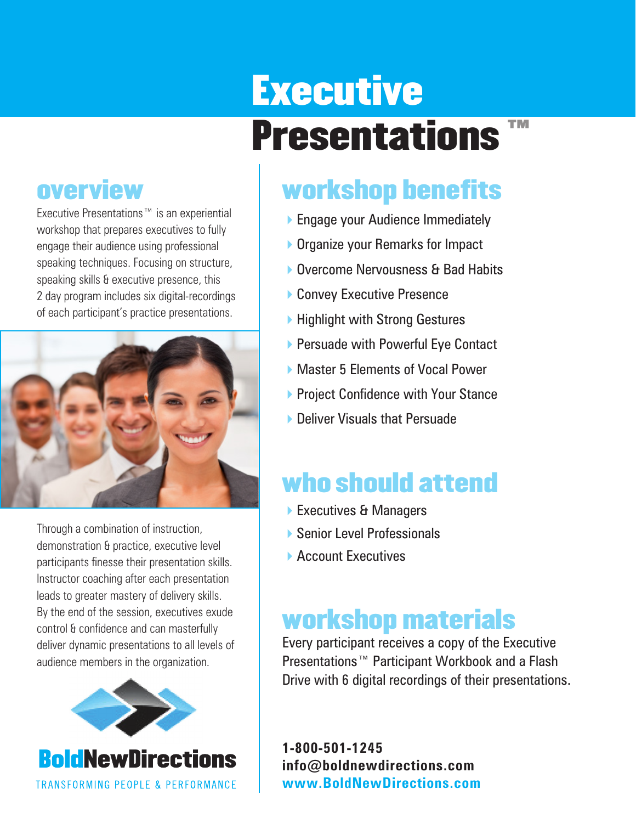# **Executive** Presentations™

### **overview**

Executive Presentations™ is an experiential workshop that prepares executives to fully engage their audience using professional speaking techniques. Focusing on structure, speaking skills & executive presence, this 2 day program includes six digital-recordings of each participant's practice presentations.



Through a combination of instruction, demonstration & practice, executive level participants finesse their presentation skills. Instructor coaching after each presentation leads to greater mastery of delivery skills. By the end of the session, executives exude control & confidence and can masterfully deliver dynamic presentations to all levels of audience members in the organization.



**BoldNewDirections TRANSFORMING PEOPLE & PERFORMANCE** 

## workshop benefits

- ▶ Engage your Audience Immediately
- ▶ Organize your Remarks for Impact
- ▶ Overcome Nervousness & Bad Habits
- ▶ Convey Executive Presence
- ▶ Highlight with Strong Gestures
- ▶ Persuade with Powerful Eye Contact
- ▶ Master 5 Elements of Vocal Power
- ▶ Project Confidence with Your Stance
- **Deliver Visuals that Persuade**

## who should attend

- ▶ Executives & Managers
- ▶ Senior Level Professionals
- **Account Executives**

## workshop materials

Every participant receives a copy of the Executive Presentations™ Participant Workbook and a Flash Drive with 6 digital recordings of their presentations.

**1-800-501-1245 info@boldnewdirections.com www.BoldNewDirections.com**